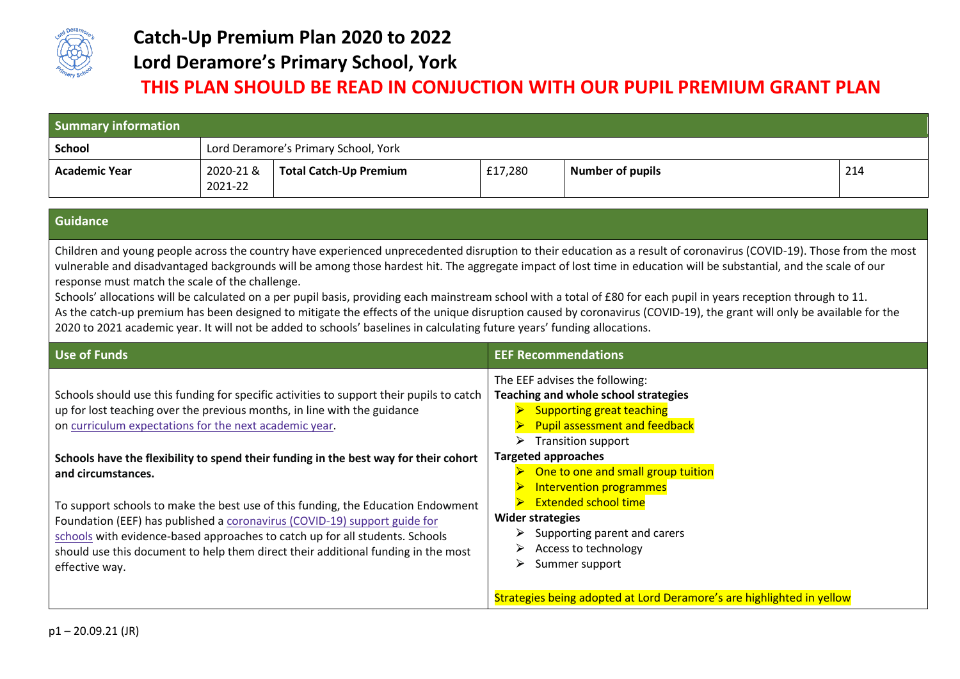

## **Catch-Up Premium Plan 2020 to 2022 Lord Deramore's Primary School, York**

## **THIS PLAN SHOULD BE READ IN CONJUCTION WITH OUR PUPIL PREMIUM GRANT PLAN**

| <b>Summary information</b> |                                      |                               |         |                         |     |
|----------------------------|--------------------------------------|-------------------------------|---------|-------------------------|-----|
| <b>School</b>              | Lord Deramore's Primary School, York |                               |         |                         |     |
| <b>Academic Year</b>       | 2020-21 &<br>2021-22                 | <b>Total Catch-Up Premium</b> | £17,280 | <b>Number of pupils</b> | 214 |

## **Guidance**

Children and young people across the country have experienced unprecedented disruption to their education as a result of coronavirus (COVID-19). Those from the most vulnerable and disadvantaged backgrounds will be among those hardest hit. The aggregate impact of lost time in education will be substantial, and the scale of our response must match the scale of the challenge.

Schools' allocations will be calculated on a per pupil basis, providing each mainstream school with a total of £80 for each pupil in years reception through to 11. As the catch-up premium has been designed to mitigate the effects of the unique disruption caused by coronavirus (COVID-19), the grant will only be available for the 2020 to 2021 academic year. It will not be added to schools' baselines in calculating future years' funding allocations.

| Use of Funds                                                                                                                                                                                                                                                                                                                                                                                                                                                       | <b>EEF Recommendations</b>                                                                                                                                                                                                      |  |
|--------------------------------------------------------------------------------------------------------------------------------------------------------------------------------------------------------------------------------------------------------------------------------------------------------------------------------------------------------------------------------------------------------------------------------------------------------------------|---------------------------------------------------------------------------------------------------------------------------------------------------------------------------------------------------------------------------------|--|
| Schools should use this funding for specific activities to support their pupils to catch<br>up for lost teaching over the previous months, in line with the guidance<br>on curriculum expectations for the next academic year.                                                                                                                                                                                                                                     | The EEF advises the following:<br>Teaching and whole school strategies<br><b>Supporting great teaching</b><br><b>Pupil assessment and feedback</b><br><b>Transition support</b><br>⋗                                            |  |
| Schools have the flexibility to spend their funding in the best way for their cohort<br>and circumstances.<br>To support schools to make the best use of this funding, the Education Endowment<br>Foundation (EEF) has published a coronavirus (COVID-19) support guide for<br>schools with evidence-based approaches to catch up for all students. Schools<br>should use this document to help them direct their additional funding in the most<br>effective way. | <b>Targeted approaches</b><br>One to one and small group tuition<br>Intervention programmes<br><b>Extended school time</b><br><b>Wider strategies</b><br>Supporting parent and carers<br>Access to technology<br>Summer support |  |
|                                                                                                                                                                                                                                                                                                                                                                                                                                                                    | Strategies being adopted at Lord Deramore's are highlighted in yellow                                                                                                                                                           |  |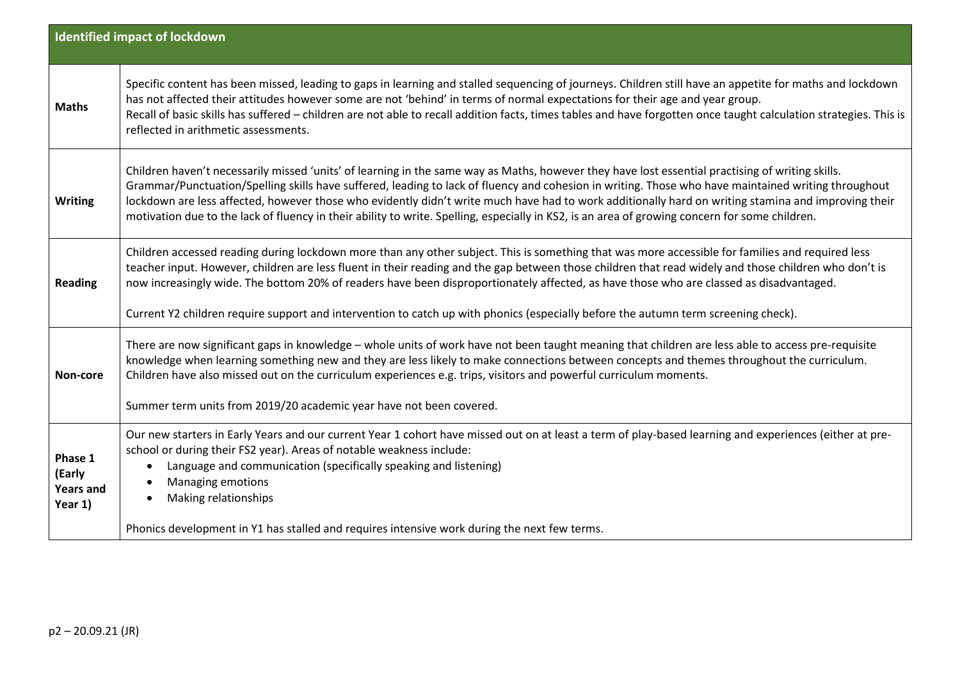|                                                  | <b>Identified impact of lockdown</b>                                                                                                                                                                                                                                                                                                                                                                                                                                                                                                                                                                             |
|--------------------------------------------------|------------------------------------------------------------------------------------------------------------------------------------------------------------------------------------------------------------------------------------------------------------------------------------------------------------------------------------------------------------------------------------------------------------------------------------------------------------------------------------------------------------------------------------------------------------------------------------------------------------------|
|                                                  |                                                                                                                                                                                                                                                                                                                                                                                                                                                                                                                                                                                                                  |
| <b>Maths</b>                                     | Specific content has been missed, leading to gaps in learning and stalled sequencing of journeys. Children still have an appetite for maths and lockdown<br>has not affected their attitudes however some are not 'behind' in terms of normal expectations for their age and year group.<br>Recall of basic skills has suffered - children are not able to recall addition facts, times tables and have forgotten once taught calculation strategies. This is<br>reflected in arithmetic assessments.                                                                                                            |
| <b>Writing</b>                                   | Children haven't necessarily missed 'units' of learning in the same way as Maths, however they have lost essential practising of writing skills.<br>Grammar/Punctuation/Spelling skills have suffered, leading to lack of fluency and cohesion in writing. Those who have maintained writing throughout<br>lockdown are less affected, however those who evidently didn't write much have had to work additionally hard on writing stamina and improving their<br>motivation due to the lack of fluency in their ability to write. Spelling, especially in KS2, is an area of growing concern for some children. |
| <b>Reading</b>                                   | Children accessed reading during lockdown more than any other subject. This is something that was more accessible for families and required less<br>teacher input. However, children are less fluent in their reading and the gap between those children that read widely and those children who don't is<br>now increasingly wide. The bottom 20% of readers have been disproportionately affected, as have those who are classed as disadvantaged.<br>Current Y2 children require support and intervention to catch up with phonics (especially before the autumn term screening check).                       |
| Non-core                                         | There are now significant gaps in knowledge - whole units of work have not been taught meaning that children are less able to access pre-requisite<br>knowledge when learning something new and they are less likely to make connections between concepts and themes throughout the curriculum.<br>Children have also missed out on the curriculum experiences e.g. trips, visitors and powerful curriculum moments.<br>Summer term units from 2019/20 academic year have not been covered.                                                                                                                      |
| Phase 1<br>(Early<br><b>Years and</b><br>Year 1) | Our new starters in Early Years and our current Year 1 cohort have missed out on at least a term of play-based learning and experiences (either at pre-<br>school or during their FS2 year). Areas of notable weakness include:<br>Language and communication (specifically speaking and listening)<br>$\bullet$<br>Managing emotions<br>Making relationships<br>Phonics development in Y1 has stalled and requires intensive work during the next few terms.                                                                                                                                                    |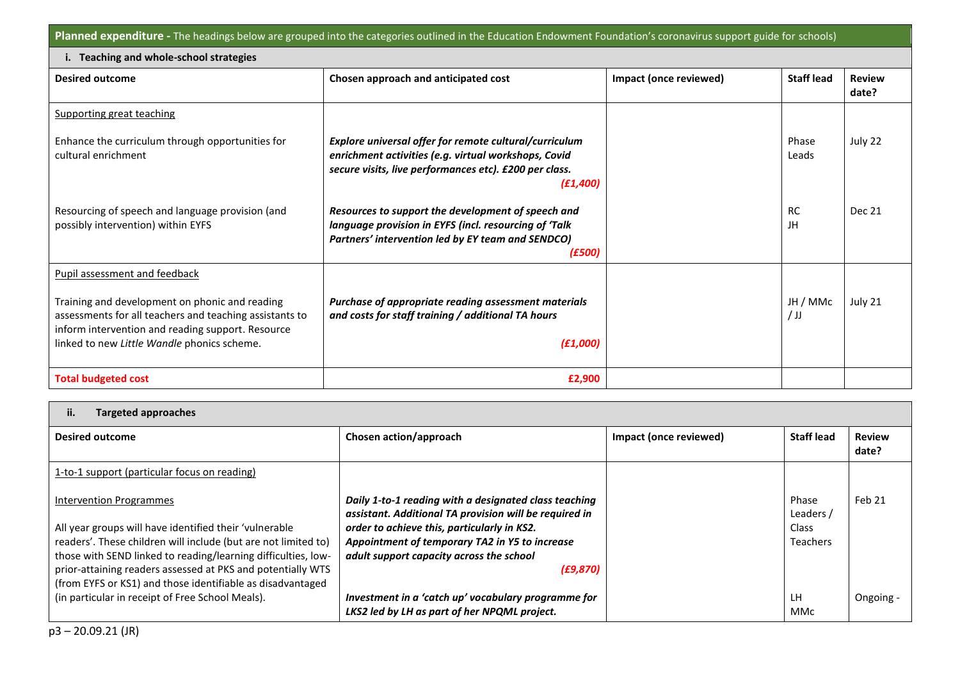**Planned expenditure -** The headings below are grouped into the categories outlined in the Education Endowment Foundation's coronavirus support guide for schools)

| Teaching and whole-school strategies                                                                                                                                                                          |                                                                                                                                                                                       |                        |                    |                        |  |
|---------------------------------------------------------------------------------------------------------------------------------------------------------------------------------------------------------------|---------------------------------------------------------------------------------------------------------------------------------------------------------------------------------------|------------------------|--------------------|------------------------|--|
| <b>Desired outcome</b>                                                                                                                                                                                        | Chosen approach and anticipated cost                                                                                                                                                  | Impact (once reviewed) | <b>Staff lead</b>  | <b>Review</b><br>date? |  |
| <b>Supporting great teaching</b>                                                                                                                                                                              |                                                                                                                                                                                       |                        |                    |                        |  |
| Enhance the curriculum through opportunities for<br>cultural enrichment                                                                                                                                       | Explore universal offer for remote cultural/curriculum<br>enrichment activities (e.g. virtual workshops, Covid<br>secure visits, live performances etc). £200 per class.<br>(E1, 400) |                        | Phase<br>Leads     | July 22                |  |
| Resourcing of speech and language provision (and<br>possibly intervention) within EYFS                                                                                                                        | Resources to support the development of speech and<br>language provision in EYFS (incl. resourcing of 'Talk<br>Partners' intervention led by EY team and SENDCO)<br><i>(£500)</i>     |                        | <b>RC</b><br>JH    | <b>Dec 21</b>          |  |
| Pupil assessment and feedback                                                                                                                                                                                 |                                                                                                                                                                                       |                        |                    |                        |  |
| Training and development on phonic and reading<br>assessments for all teachers and teaching assistants to<br>inform intervention and reading support. Resource<br>linked to new Little Wandle phonics scheme. | Purchase of appropriate reading assessment materials<br>and costs for staff training / additional TA hours<br>(E1,000)                                                                |                        | JH / MMc<br>$/$ JJ | July 21                |  |
| <b>Total budgeted cost</b>                                                                                                                                                                                    | £2,900                                                                                                                                                                                |                        |                    |                        |  |

| ii.<br><b>Targeted approaches</b>                                                                                                                                                                                                                                                                                                                        |                                                                                                                                                                                                                                                                           |                        |                                                |                        |
|----------------------------------------------------------------------------------------------------------------------------------------------------------------------------------------------------------------------------------------------------------------------------------------------------------------------------------------------------------|---------------------------------------------------------------------------------------------------------------------------------------------------------------------------------------------------------------------------------------------------------------------------|------------------------|------------------------------------------------|------------------------|
| <b>Desired outcome</b>                                                                                                                                                                                                                                                                                                                                   | Chosen action/approach                                                                                                                                                                                                                                                    | Impact (once reviewed) | <b>Staff lead</b>                              | <b>Review</b><br>date? |
| 1-to-1 support (particular focus on reading)                                                                                                                                                                                                                                                                                                             |                                                                                                                                                                                                                                                                           |                        |                                                |                        |
| <b>Intervention Programmes</b><br>All year groups will have identified their 'vulnerable<br>readers'. These children will include (but are not limited to)<br>those with SEND linked to reading/learning difficulties, low-<br>prior-attaining readers assessed at PKS and potentially WTS<br>(from EYFS or KS1) and those identifiable as disadvantaged | Daily 1-to-1 reading with a designated class teaching<br>assistant. Additional TA provision will be required in<br>order to achieve this, particularly in KS2.<br>Appointment of temporary TA2 in Y5 to increase<br>adult support capacity across the school<br>(E9, 870) |                        | Phase<br>Leaders /<br>Class<br><b>Teachers</b> | Feb 21                 |
| (in particular in receipt of Free School Meals).                                                                                                                                                                                                                                                                                                         | Investment in a 'catch up' vocabulary programme for<br>LKS2 led by LH as part of her NPQML project.                                                                                                                                                                       |                        | <b>LH</b><br><b>MMc</b>                        | Ongoing -              |